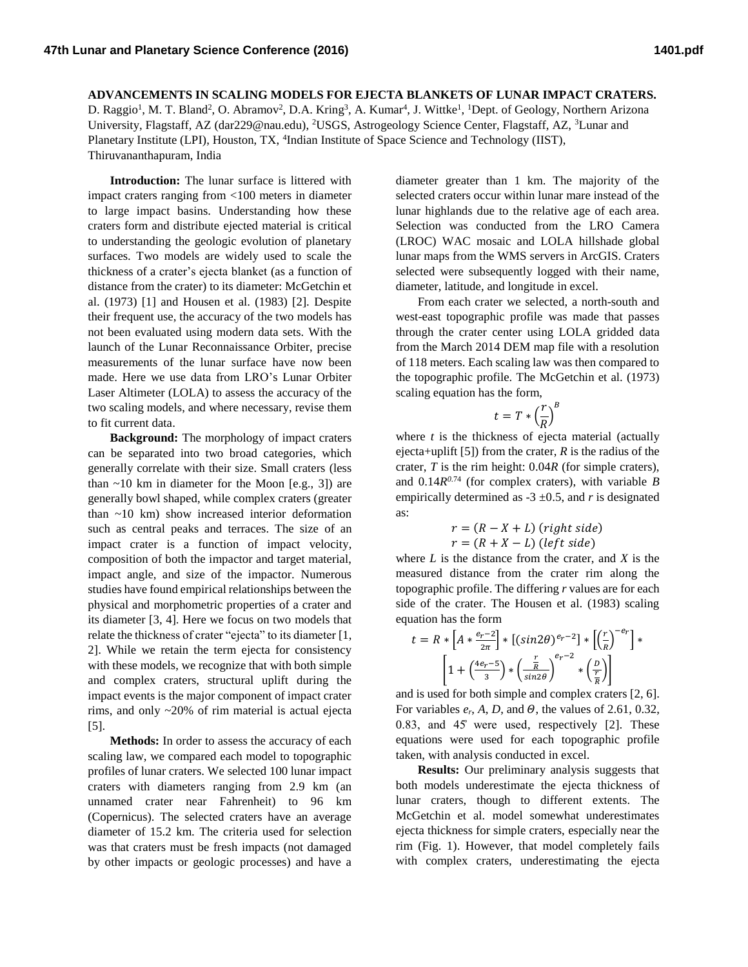## **ADVANCEMENTS IN SCALING MODELS FOR EJECTA BLANKETS OF LUNAR IMPACT CRATERS.**

D. Raggio<sup>1</sup>, M. T. Bland<sup>2</sup>, O. Abramov<sup>2</sup>, D.A. Kring<sup>3</sup>, A. Kumar<sup>4</sup>, J. Wittke<sup>1</sup>, <sup>1</sup>Dept. of Geology, Northern Arizona University, Flagstaff, AZ (dar229@nau.edu), <sup>2</sup>USGS, Astrogeology Science Center, Flagstaff, AZ, <sup>3</sup>Lunar and Planetary Institute (LPI), Houston, TX, <sup>4</sup>Indian Institute of Space Science and Technology (IIST), Thiruvananthapuram, India

**Introduction:** The lunar surface is littered with impact craters ranging from <100 meters in diameter to large impact basins. Understanding how these craters form and distribute ejected material is critical to understanding the geologic evolution of planetary surfaces. Two models are widely used to scale the thickness of a crater's ejecta blanket (as a function of distance from the crater) to its diameter: McGetchin et al. (1973) [1] and Housen et al. (1983) [2]. Despite their frequent use, the accuracy of the two models has not been evaluated using modern data sets. With the launch of the Lunar Reconnaissance Orbiter, precise measurements of the lunar surface have now been made. Here we use data from LRO's Lunar Orbiter Laser Altimeter (LOLA) to assess the accuracy of the two scaling models, and where necessary, revise them to fit current data.

**Background:** The morphology of impact craters can be separated into two broad categories, which generally correlate with their size. Small craters (less than  $\sim$ 10 km in diameter for the Moon [e.g., 3]) are generally bowl shaped, while complex craters (greater than ~10 km) show increased interior deformation such as central peaks and terraces. The size of an impact crater is a function of impact velocity, composition of both the impactor and target material, impact angle, and size of the impactor. Numerous studies have found empirical relationships between the physical and morphometric properties of a crater and its diameter [3, 4]. Here we focus on two models that relate the thickness of crater "ejecta" to its diameter [1, 2]. While we retain the term ejecta for consistency with these models, we recognize that with both simple and complex craters, structural uplift during the impact events is the major component of impact crater rims, and only ~20% of rim material is actual ejecta [5].

**Methods:** In order to assess the accuracy of each scaling law, we compared each model to topographic profiles of lunar craters. We selected 100 lunar impact craters with diameters ranging from 2.9 km (an unnamed crater near Fahrenheit) to 96 km (Copernicus). The selected craters have an average diameter of 15.2 km. The criteria used for selection was that craters must be fresh impacts (not damaged by other impacts or geologic processes) and have a diameter greater than 1 km. The majority of the selected craters occur within lunar mare instead of the lunar highlands due to the relative age of each area. Selection was conducted from the LRO Camera (LROC) WAC mosaic and LOLA hillshade global lunar maps from the WMS servers in ArcGIS. Craters selected were subsequently logged with their name, diameter, latitude, and longitude in excel.

From each crater we selected, a north-south and west-east topographic profile was made that passes through the crater center using LOLA gridded data from the March 2014 DEM map file with a resolution of 118 meters. Each scaling law was then compared to the topographic profile. The McGetchin et al. (1973) scaling equation has the form,

$$
t = T \ast \left(\frac{r}{R}\right)^B
$$

where *t* is the thickness of ejecta material (actually ejecta+uplift [5]) from the crater,  $R$  is the radius of the crater, *T* is the rim height: 0.04*R* (for simple craters), and  $0.14R^{0.74}$  (for complex craters), with variable *B* empirically determined as -3  $\pm$ 0.5, and *r* is designated as:

$$
r = (R - X + L) (right side)
$$
  

$$
r = (R + X - L) (left side)
$$

where *L* is the distance from the crater, and *X* is the measured distance from the crater rim along the topographic profile. The differing *r* values are for each side of the crater. The Housen et al. (1983) scaling equation has the form

$$
t = R * \left[A * \frac{e_r - 2}{2\pi}\right] * \left[(\sin 2\theta)^{e_r - 2}\right] * \left[\left(\frac{r}{R}\right)^{-e_r}\right] * \left[1 + \left(\frac{4e_r - 5}{3}\right) * \left(\frac{\frac{r}{R}}{\sin 2\theta}\right)^{e_r - 2} * \left(\frac{p}{\frac{r}{R}}\right)\right]
$$

and is used for both simple and complex craters [2, 6]. For variables  $e_r$ , A, D, and  $\Theta$ , the values of 2.61, 0.32, 0.83, and  $45^\circ$  were used, respectively [2]. These equations were used for each topographic profile taken, with analysis conducted in excel.

**Results:** Our preliminary analysis suggests that both models underestimate the ejecta thickness of lunar craters, though to different extents. The McGetchin et al. model somewhat underestimates ejecta thickness for simple craters, especially near the rim (Fig. 1). However, that model completely fails with complex craters, underestimating the ejecta